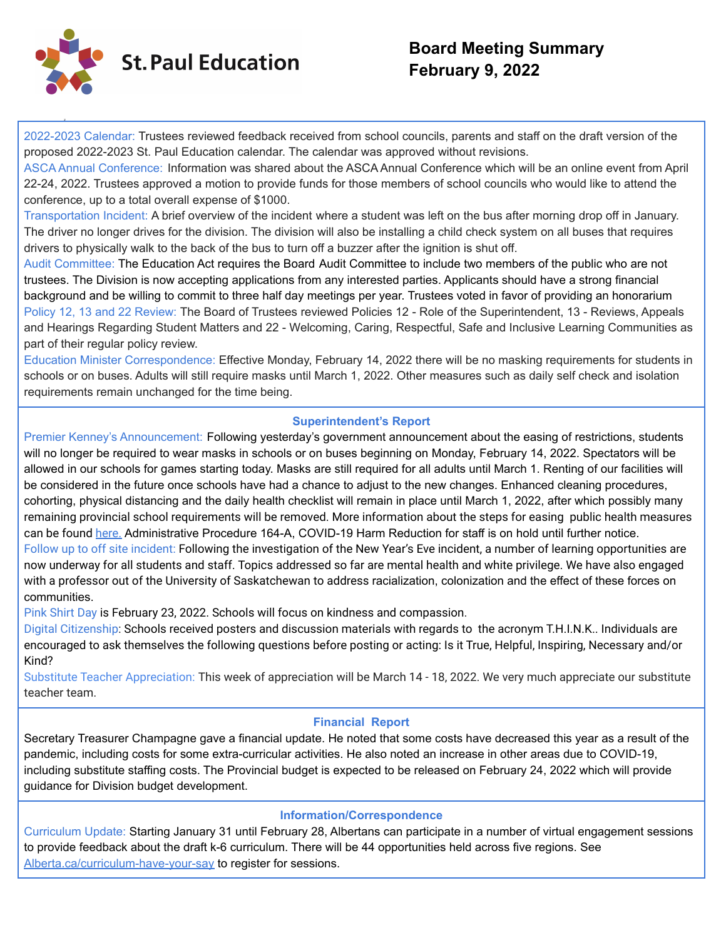

2

## **Board Meeting Summary February 9, 2022**

2022-2023 Calendar: Trustees reviewed feedback received from school councils, parents and staff on the draft version of the proposed 2022-2023 St. Paul Education calendar. The calendar was approved without revisions.

ASCA Annual Conference: Information was shared about the ASCA Annual Conference which will be an online event from April 22-24, 2022. Trustees approved a motion to provide funds for those members of school councils who would like to attend the conference, up to a total overall expense of \$1000.

Transportation Incident: A brief overview of the incident where a student was left on the bus after morning drop off in January. The driver no longer drives for the division. The division will also be installing a child check system on all buses that requires drivers to physically walk to the back of the bus to turn off a buzzer after the ignition is shut off.

Audit Committee: The Education Act requires the Board Audit Committee to include two members of the public who are not trustees. The Division is now accepting applications from any interested parties. Applicants should have a strong financial background and be willing to commit to three half day meetings per year. Trustees voted in favor of providing an honorarium Policy 12, 13 and 22 Review: The Board of Trustees reviewed Policies 12 - Role of the Superintendent, 13 - Reviews, Appeals and Hearings Regarding Student Matters and 22 - Welcoming, Caring, Respectful, Safe and Inclusive Learning Communities as part of their regular policy review.

Education Minister Correspondence: Effective Monday, February 14, 2022 there will be no masking requirements for students in schools or on buses. Adults will still require masks until March 1, 2022. Other measures such as daily self check and isolation requirements remain unchanged for the time being.

### **Superintendent's Report**

Premier Kenney's Announcement: Following yesterday's government announcement about the easing of restrictions, students will no longer be required to wear masks in schools or on buses beginning on Monday, February 14, 2022. Spectators will be allowed in our schools for games starting today. Masks are still required for all adults until March 1. Renting of our facilities will be considered in the future once schools have had a chance to adjust to the new changes. Enhanced cleaning procedures, cohorting, physical distancing and the daily health checklist will remain in place until March 1, 2022, after which possibly many remaining provincial school requirements will be removed. More information about the steps for easing public health measures can be found [here.](https://www.alberta.ca/covid-19-public-health-actions.aspx) Administrative Procedure 164-A, COVID-19 Harm Reduction for staff is on hold until further notice. Follow up to off site incident: Following the investigation of the New Year's Eve incident, a number of learning opportunities are now underway for all students and staff. Topics addressed so far are mental health and white privilege. We have also engaged with a professor out of the University of Saskatchewan to address racialization, colonization and the effect of these forces on communities.

Pink Shirt Day is February 23, 2022. Schools will focus on kindness and compassion.

Digital Citizenship: Schools received posters and discussion materials with regards to the acronym T.H.I.N.K.. Individuals are encouraged to ask themselves the following questions before posting or acting: Is it True, Helpful, Inspiring, Necessary and/or Kind?

Substitute Teacher Appreciation: This week of appreciation will be March 14 - 18, 2022. We very much appreciate our substitute teacher team.

#### **Financial Report**

Secretary Treasurer Champagne gave a financial update. He noted that some costs have decreased this year as a result of the pandemic, including costs for some extra-curricular activities. He also noted an increase in other areas due to COVID-19, including substitute staffing costs. The Provincial budget is expected to be released on February 24, 2022 which will provide guidance for Division budget development.

#### **Information/Correspondence**

Curriculum Update: Starting January 31 until February 28, Albertans can participate in a number of virtual engagement sessions to provide feedback about the draft k-6 curriculum. There will be 44 opportunities held across five regions. See [Alberta.ca/curriculum-have-your-say](https://www.alberta.ca/curriculum-have-your-say.aspx) to register for sessions.